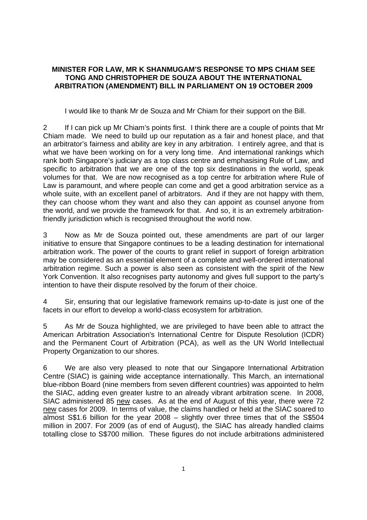## **MINISTER FOR LAW, MR K SHANMUGAM'S RESPONSE TO MPS CHIAM SEE TONG AND CHRISTOPHER DE SOUZA ABOUT THE INTERNATIONAL ARBITRATION (AMENDMENT) BILL IN PARLIAMENT ON 19 OCTOBER 2009**

I would like to thank Mr de Souza and Mr Chiam for their support on the Bill.

2 If I can pick up Mr Chiam's points first. I think there are a couple of points that Mr Chiam made. We need to build up our reputation as a fair and honest place, and that an arbitrator's fairness and ability are key in any arbitration. I entirely agree, and that is what we have been working on for a very long time. And international rankings which rank both Singapore's judiciary as a top class centre and emphasising Rule of Law, and specific to arbitration that we are one of the top six destinations in the world, speak volumes for that. We are now recognised as a top centre for arbitration where Rule of Law is paramount, and where people can come and get a good arbitration service as a whole suite, with an excellent panel of arbitrators. And if they are not happy with them, they can choose whom they want and also they can appoint as counsel anyone from the world, and we provide the framework for that. And so, it is an extremely arbitrationfriendly jurisdiction which is recognised throughout the world now.

3 Now as Mr de Souza pointed out, these amendments are part of our larger initiative to ensure that Singapore continues to be a leading destination for international arbitration work. The power of the courts to grant relief in support of foreign arbitration may be considered as an essential element of a complete and well-ordered international arbitration regime. Such a power is also seen as consistent with the spirit of the New York Convention. It also recognises party autonomy and gives full support to the party's intention to have their dispute resolved by the forum of their choice.

4 Sir, ensuring that our legislative framework remains up-to-date is just one of the facets in our effort to develop a world-class ecosystem for arbitration.

5 As Mr de Souza highlighted, we are privileged to have been able to attract the American Arbitration Association's International Centre for Dispute Resolution (ICDR) and the Permanent Court of Arbitration (PCA), as well as the UN World Intellectual Property Organization to our shores.

6 We are also very pleased to note that our Singapore International Arbitration Centre (SIAC) is gaining wide acceptance internationally. This March, an international blue-ribbon Board (nine members from seven different countries) was appointed to helm the SIAC, adding even greater lustre to an already vibrant arbitration scene. In 2008, SIAC administered 85 new cases. As at the end of August of this year, there were 72 new cases for 2009. In terms of value, the claims handled or held at the SIAC soared to almost S\$1.6 billion for the year 2008 – slightly over three times that of the S\$504 million in 2007. For 2009 (as of end of August), the SIAC has already handled claims totalling close to S\$700 million. These figures do not include arbitrations administered